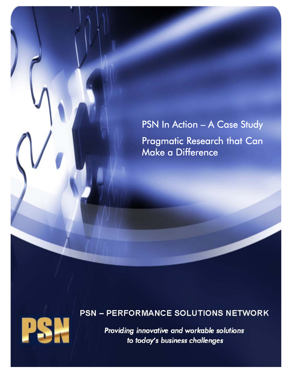# PSN In Action - A Case Study Pragmatic Research that Can Make a Difference

### **PSN - PERFORMANCE SOLUTIONS NETWORK**



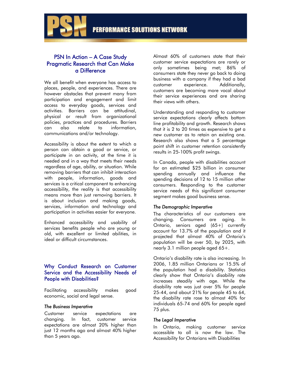

### PSN In Action – A Case Study Pragmatic Research that Can Make a Difference

We all benefit when everyone has access to places, people, and experiences. There are however obstacles that prevent many from participation and engagement and limit access to everyday goods, services and activities. Barriers can be attitudinal, physical or result from organizational policies, practices and procedures. Barriers can also relate to information, communications and/or technology.

Accessibility is about the extent to which a person can obtain a good or service, or participate in an activity, at the time it is needed and in a way that meets their needs regardless of age, ability, or situation. While removing barriers that can inhibit interaction with people, information, goods and services is a critical component to enhancing accessibility, the reality is that accessibility means more than just removing barriers. It is about inclusion and making goods, services, information and technology and participation in activities easier for everyone.

Enhanced accessibility and usability of services benefits people who are young or old, with excellent or limited abilities, in ideal or difficult circumstances.

#### Why Conduct Research on Customer Service and the Accessibility Needs of People with Disabilities?

Facilitating accessibility makes good economic, social and legal sense.

#### *The Business Imperative*

Customer service expectations are changing. In fact, customer service expectations are almost 20% higher than just 12 months ago and almost 40% higher than 5 years ago.

Almost 60% of customers state that their customer service expectations are rarely or only sometimes being met; 86% of consumers state they never go back to doing business with a company if they had a bad customer experience. Additionally, customers are becoming more vocal about their service experiences and are sharing their views with others.

Understanding and responding to customer service expectations clearly affects bottom line profitability and growth. Research shows that it is 2 to 20 times as expensive to get a new customer as to retain an existing one. Research also shows that a 5 percentage point shift in customer retention consistently results in 25-100% profit swings.

In Canada, people with disabilities account for an estimated \$25 billion in consumer spending annually and influence the spending decisions of 12 to 15 million other consumers. Responding to the customer service needs of this significant consumer segment makes good business sense.

#### *The Demographic Imperative*

The characteristics of our customers are changing. Consumers are aging. In Ontario, seniors aged (65+) currently account for 13.7% of the population and it projected that almost 40% of Ontario's population will be over 50, by 2025, with nearly 3.1 million people aged 65+.

Ontario's disability rate is also increasing. In 2006, 1.85 million Ontarians or 15.5% of the population had a disability. Statistics clearly show that Ontario's disability rate increases steadily with age. While the disability rate was just over 5% for people 25-44, and about 21% for people 45 to 64, the disability rate rose to almost 40% for individuals 65-74 and 60% for people aged 75 plus.

#### *The Legal Imperative*

In Ontario, making customer service accessible to all is now the law. The Accessibility for Ontarians with Disabilities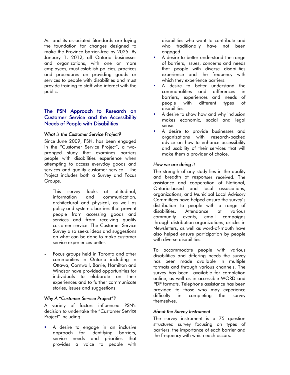Act and its associated Standards are laying the foundation for changes designed to make the Province barrier-free by 2025. By January 1, 2012, all Ontario businesses and organizations, with one or more employees, must establish policies, practices and procedures on providing goods or services to people with disabilities and must provide training to staff who interact with the public.

#### The PSN Approach to Research on Customer Service and the Accessibility Needs of People with Disabilities

#### *What is the Customer Service Project?*

Since June 2009, PSN, has been engaged in the "Customer Service Project", a twopronged study that examines barriers people with disabilities experience when attempting to access everyday goods and services and quality customer service. The Project includes both a Survey and Focus Groups.

- This survey looks at attitudinal, information and communication, architectural and physical, as well as policy and systemic barriers that prevent people from accessing goods and services and from receiving quality customer service. The Customer Service Survey also seeks ideas and suggestions on what can be done to make customer service experiences better.
- Focus groups held in Toronto and other communities in Ontario including in Ottawa, Cornwall, Barrie, Hamilton and Windsor have provided opportunities for individuals to elaborate on their experiences and to further communicate stories, issues and suggestions.

#### *Why A "Customer Service Project"?*

A variety of factors influenced PSN's decision to undertake the "Customer Service Project" including:

 A desire to engage in an inclusive approach for identifying barriers, service needs and priorities that provides a voice to people with disabilities who want to contribute and who traditionally have not been engaged.

- A desire to better understand the range of barriers, issues, concerns and needs that people with diverse disabilities experience and the frequency with which they experience barriers.
- A desire to better understand the commonalities and differences in barriers, experiences and needs of people with different types of disabilities.
- A desire to show how and why inclusion makes economic, social and legal sense.
- A desire to provide businesses and organizations with research-backed advice on how to enhance accessibility and usability of their services that will make them a provider of choice.

#### *How we are doing it*

The strength of any study lies in the quality and breadth of responses received. The assistance and cooperation of National, Ontario-based and local associations, organizations, and Municipal Local Advisory Committees have helped ensure the survey's distribution to people with a range of disabilities. Attendance at various community events, email campaigns through distribution organizations, articles in Newsletters, as well as word-of-mouth have also helped ensure participation by people with diverse disabilities.

To accommodate people with various disabilities and differing needs the survey has been made available in multiple formats and through various channels. The survey has been available for completion online, as well as in accessible WORD and PDF formats. Telephone assistance has been provided to those who may experience<br>difficulty in completing the survey difficulty in completing the survey themselves.

#### *About the Survey Instrument*

The survey instrument is a 75 question structured survey focusing on types of barriers, the importance of each barrier and the frequency with which each occurs.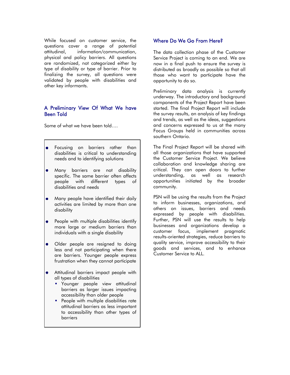While focused on customer service, the Where Do We Go From Here? questions cover a range of potential attitudinal, information/communication, physical and policy barriers. All questions are randomized, not categorized either by type of disability or type of barrier. Prior to finalizing the survey, all questions were validated by people with disabilities and other key informants.

#### A Preliminary View Of What We have Been Told

Some of what we have been told….

- $\bullet$ Focusing on barriers rather than disabilities is critical to understanding needs and to identifying solutions
- Many barriers are not disability specific. The same barrier often affects people with different types of disabilities and needs
- Many people have identified their daily activities are limited by more than one disability

 $\mathsf{I}$ 

- People with multiple disabilities identify  $\bullet$ more large or medium barriers than individuals with a single disability
- Older people are resigned to doing  $\bullet$ less and not participating when there are barriers. Younger people express frustration when they cannot participate
- Attitudinal barriers impact people with all types of disabilities
	- **•** Younger people view attitudinal barriers as larger issues impacting accessibility than older people
	- **People with multiple disabilities rate** attitudinal barriers as less important to accessibility than other types of barriers

The data collection phase of the Customer Service Project is coming to an end. We are now in a final push to ensure the survey is distributed as broadly as possible so that all those who want to participate have the opportunity to do so.

Preliminary data analysis is currently underway. The introductory and background components of the Project Report have been started. The final Project Report will include the survey results, an analysis of key findings and trends, as well as the ideas, suggestions and concerns expressed to us at the many Focus Groups held in communities across southern Ontario.

The Final Project Report will be shared with all those organizations that have supported the Customer Service Project. We believe collaboration and knowledge sharing are critical. They can open doors to further understanding, as well as research opportunities initiated by the broader community.

PSN will be using the results from the Project to inform businesses, organizations, and others on issues, barriers and needs expressed by people with disabilities. Further, PSN will use the results to help businesses and organizations develop a customer focus, implement pragmatic results-oriented strategies, reduce barriers to quality service, improve accessibility to their goods and services, and to enhance Customer Service to ALL.